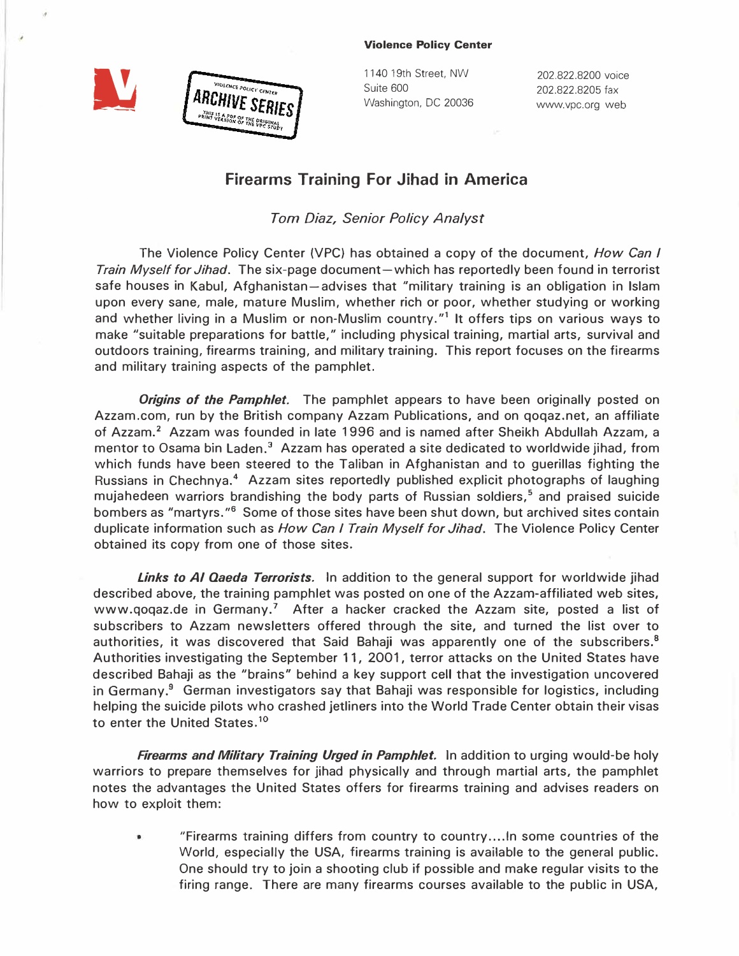## **Violence Policy Center**



1140 19th Street, NW Suite 600 Washington, DC 20036

202.822.8200 voice 202.822.8205 fax www.vpc.org web

## **Firearms Training For Jihad in America**

*Tom Diaz, Senior Policy Analyst* 

The Violence Policy Center (VPC) has obtained a copy of the document, *How Can I Train Myself for Jihad.* The six-page document-which has reportedly been found in terrorist safe houses in Kabul, Afghanistan-advises that "military training is an obligation in Islam upon every sane, male, mature Muslim, whether rich or poor, whether studying or working and whether living in a Muslim or non-Muslim country."<sup>1</sup> It offers tips on various ways to make "suitable preparations for battle," including physical training, martial arts, survival and outdoors training, firearms training, and military training. This report focuses on the firearms and military training aspects of the pamphlet.

*Origins of the Pamphlet.* The pamphlet appears to have been originally posted on Azzam.com, run by the British company Azzam Publications, and on qoqaz.net, an affiliate of Azzam.<sup>2</sup> Azzam was founded in late 1996 and is named after Sheikh Abdullah Azzam, a mentor to Osama bin Laden. **<sup>3</sup>**Azzam has operated a site dedicated to worldwide jihad, from which funds have been steered to the Taliban in Afghanistan and to guerillas fighting the Russians in Chechnya. **<sup>4</sup>**Azzam sites reportedly published explicit photographs of laughing mujahedeen warriors brandishing the body parts of Russian soldiers, **<sup>5</sup>**and praised suicide bombers as "martyrs."<sup>6</sup> Some of those sites have been shut down, but archived sites contain duplicate information such as *How Can I Train Myself for Jihad.* The Violence Policy Center obtained its copy from one of those sites.

*Links to Al Qaeda Terrorists.* In addition to the general support for worldwide jihad described above, the training pamphlet was posted on one of the Azzam-affiliated web sites, www.qoqaz.de in Germany.<sup>7</sup> After a hacker cracked the Azzam site, posted a list of subscribers to Azzam newsletters offered through the site, and turned the list over to authorities, it was discovered that Said Bahaji was apparently one of the subscribers. **<sup>8</sup>** Authorities investigating the September 11, 2001, terror attacks on the United States have described Bahaji as the "brains" behind a key support cell that the investigation uncovered in Germany.<sup>9</sup> German investigators say that Bahaji was responsible for logistics, including helping the suicide pilots who crashed jetliners into the World Trade Center obtain their visas to enter the United States. **<sup>10</sup>**

**Firearms and Military Training Urged in Pamphlet.** In addition to urging would-be holy warriors to prepare themselves for jihad physically and through martial arts, the pamphlet notes the advantages the United States offers for firearms training and advises readers on how to exploit them:

"Firearms training differs from country to country .... In some countries of the World, especially the USA, firearms training is available to the general public. One should try to join a shooting club if possible and make regular visits to the firing range. There are many firearms courses available to the public in USA,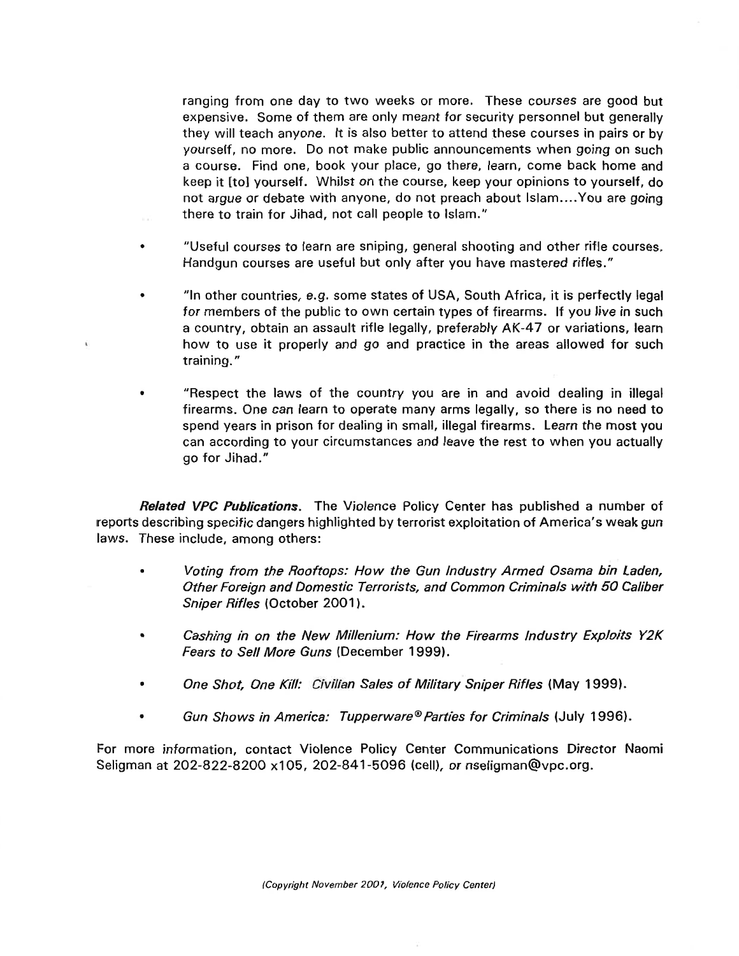ranging from one day to two weeks or more. These courses are good but expensive. Some of them are only meant for security personnel but generally they will teach anyone. lt is also better to attend these courses in pairs or by yourself, no more. Do not make public announcements when going on such a course. Find One, book your place, go there, learn, come back home and keep it [to] yourself . Whilst on the course, keep your opinions to yourself, do not argue or debate with anyone, do not preach about Islam....You are going there to train for Jihad, not call people to lslam."

- a ,'Useful courses to learn are sniping, general shooting and other rifle courses. Handgun courses are useful but only after you have mastered rifles.''
- a "ln other countries, e.g. some states of USA, South Africa, it is perfectly legal for members of the public to own certain types of firearms. lf you live in such a country, obtain an assault rifle legally, preferably AK-47 or variations, learn how to use it properly and go and practice in the areas allowed for such training."
- "Respect the laws of the country you are in and avoid dealing in illegal firearms, One can learn to operate many arms legally, so there is no need to spend years in prison for dealing in small, illegal firearms. Learn the most you can according to your circumstances and leave the rest to when you actually go for Jihad." a

**Related VPC Publications.** The Violence Policy Center has published a number of reports describing specific dangers highlighted by terrorist exploitation of America's weak gun laws. These include, among others:

- . Voting from the Rooftops: How the Gun lndustry Armed Osama bin Laden, Othei Foreign and Domestic Terrorists, and Common Criminals with 5O Caliber Sniper Rifles (October 2001).
- Cashing in on the New Millenium: How the Firearms Industry Exploits Y2K Fears to Sell More Guns (December 1999).
- One Shot, One Kill: Civilian Sales of Military Sniper Rifles (May 1999).
- Gun Shows in America: Tupperware<sup>®</sup> Parties for Criminals (July 1996).

For more information, contact Violence Policy Center Communications Director Naomi Seligman at 202-822-8200 x105, 202-841-5096 (cell), or nseligman@vpc.org.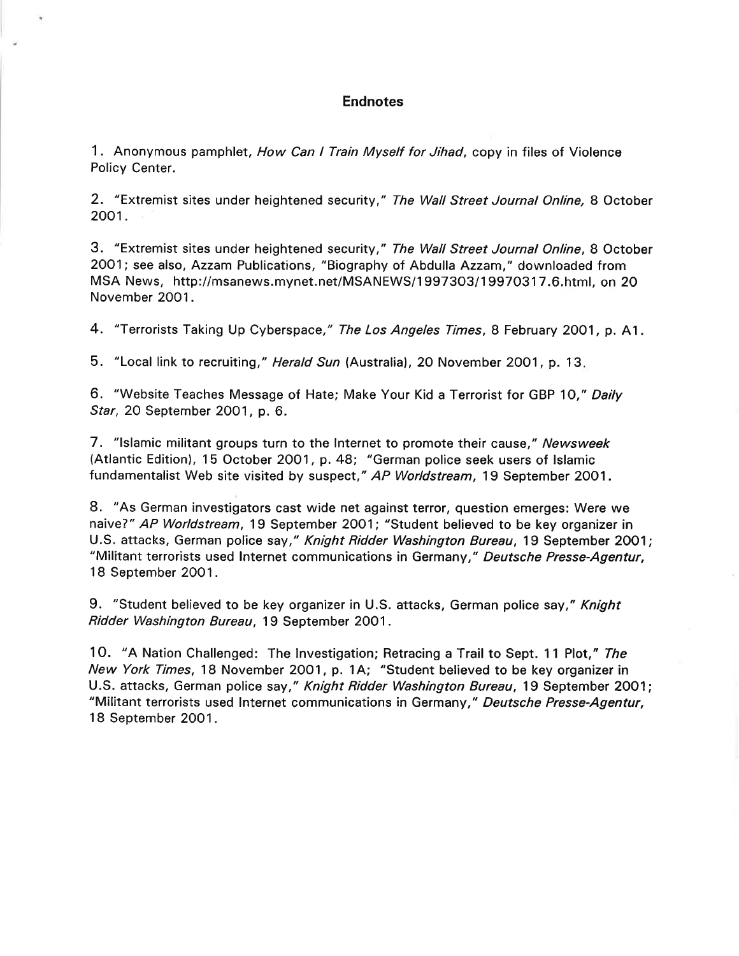## Endnotes

1. Anonymous pamphlet, How Can I Train Myself for Jihad, copy in files of Violence Policy Center.

2. "Extremist sites under heightened security," The Wall Street Journal Online, 8 October 2001.

3. "Extremist sites under heightened security," The Wall Street Journal Online, 8 October 2001; see also, Azzam Publications, "Biography of Abdulla Azzam," downloaded from MSA News, http://msanews.mynet.net/MSANEWS/1997303/19970317.6.htm|, on 20 November 2OO1.

4. "Terrorists Taking Up Cyberspace," The Los Angeles Times, 8 February 2001, p. A1.

5. "Local link to recruiting," Herald Sun (Australia), 20 November 2001, p. 13.

6. "Website Teaches Message of Hate; Make Your Kid a Terrorist for GBP 10," Daily Star, 2Q September 2001, p. 6.

7. "Islamic militant groups turn to the Internet to promote their cause," Newsweek (Atlantic Edition), 15 October 2OO1 , p. 48; "German police seek users of lslamic fundamentalist Web site visited by suspect," AP Worldstream, 19 September 2001.

8. "As German investigators cast wide net against terror, question emerges: Were we naive?" AP Worldstream, 19 September 2001; "Student believed to be key organizer in U.S. attacks, German police say," Knight Ridder Washington Bureau, 19 September 2001; "Militant terrorists used Internet communications in Germany," Deutsche Presse-Agentur, 18 September 2001.

9. "Student believed to be key organizer in U.S. attacks, German police say," Knight Ridder Washington Bureau, 19 September 2001.

10. "A Nation Challenged: The Investigation; Retracing a Trail to Sept. 11 Plot," The New York Times, 18 November 2001, p. 1A; "Student believed to be key organizer in U.S. attacks, German police say," Knight Ridder Washington Bureau, 19 September 2001; "Militant terrorists used Internet communications in Germany," Deutsche Presse-Agentur, 18 September 2001.